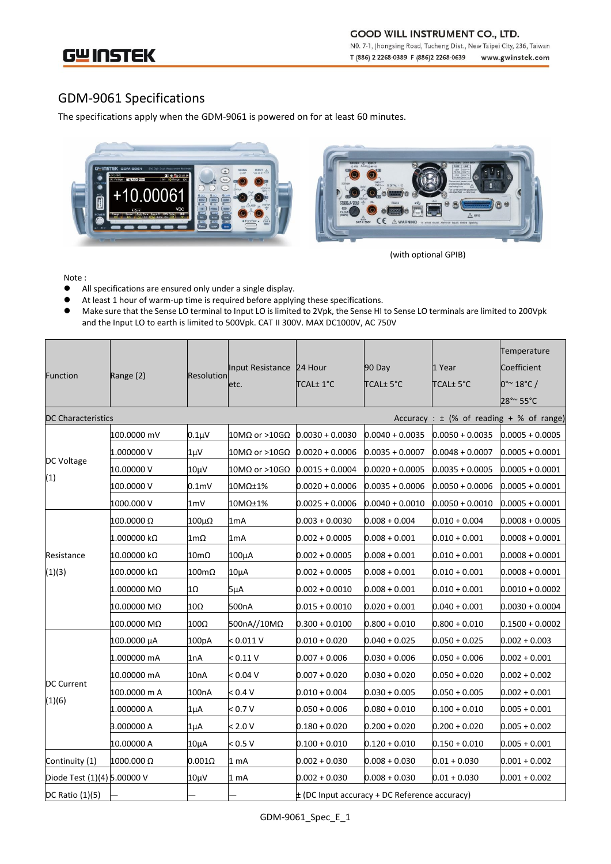**GOOD WILL INSTRUMENT CO., LTD.** NO. 7-1, Jhongsing Road, Tucheng Dist., New Taipei City, 236, Taiwan T (886) 2 2268-0389 F (886)2 2268-0639 www.gwinstek.com

GWINSTEK

## GDM-9061 Specifications

The specifications apply when the GDM-9061 is powered on for at least 60 minutes.





(with optional GPIB)

Note :

- All specifications are ensured only under a single display.<br>● At least 1 hour of warm-up time is required before applyi
- At least 1 hour of warm-up time is required before applying these specifications.<br>● Make sure that the Sense LO terminal to Input LO is limited to 2Vpk. the Sense HI
- Make sure that the Sense LO terminal to Input LO is limited to 2Vpk, the Sense HI to Sense LO terminals are limited to 200Vpk and the Input LO to earth is limited to 500Vpk. CAT II 300V. MAX DC1000V, AC 750V

|                             |              |                  |                          |                                               |                   |                   | Temperature          |  |
|-----------------------------|--------------|------------------|--------------------------|-----------------------------------------------|-------------------|-------------------|----------------------|--|
| <b>Function</b>             | Range (2)    | Resolution       | Input Resistance 24 Hour |                                               | 90 Day            | 1 Year            | Coefficient          |  |
|                             |              |                  | etc.                     | TCAL± 1°C                                     | <b>TCAL±5°C</b>   | <b>TCAL± 5°C</b>  | $0^{\circ}$ ~ 18°C / |  |
|                             |              |                  |                          |                                               |                   |                   | 28°~55°C             |  |
| <b>DC Characteristics</b>   |              |                  |                          | Accuracy : $\pm$ (% of reading + % of range)  |                   |                   |                      |  |
| DC Voltage                  | 100.0000 mV  | $0.1 \mu V$      | 10MΩ or >10GΩ            | $0.0030 + 0.0030$                             | $0.0040 + 0.0035$ | $0.0050 + 0.0035$ | $0.0005 + 0.0005$    |  |
|                             | 1.000000 V   | 1μV              | 10MΩ or >10GΩ            | $0.0020 + 0.0006$                             | $0.0035 + 0.0007$ | $0.0048 + 0.0007$ | $0.0005 + 0.0001$    |  |
|                             | 10.00000 V   | 10µV             | 10MΩ or >10GΩ            | $0.0015 + 0.0004$                             | $0.0020 + 0.0005$ | $0.0035 + 0.0005$ | $0.0005 + 0.0001$    |  |
| (1)                         | 100.0000 V   | 0.1 <sub>m</sub> | 10MΩ±1%                  | $0.0020 + 0.0006$                             | $0.0035 + 0.0006$ | $0.0050 + 0.0006$ | $0.0005 + 0.0001$    |  |
|                             | 1000.000 V   | 1 <sub>m</sub>   | 10MΩ±1%                  | $0.0025 + 0.0006$                             | $0.0040 + 0.0010$ | $0.0050 + 0.0010$ | $0.0005 + 0.0001$    |  |
|                             | 100.0000 Ω   | 100μΩ            | 1 <sub>m</sub> A         | $0.003 + 0.0030$                              | $0.008 + 0.004$   | $0.010 + 0.004$   | $0.0008 + 0.0005$    |  |
|                             | 1.000000 kΩ  | $1m\Omega$       | 1 <sub>m</sub> A         | $0.002 + 0.0005$                              | $0.008 + 0.001$   | $0.010 + 0.001$   | $0.0008 + 0.0001$    |  |
| Resistance<br>(1)(3)        | 10.00000 kΩ  | $10m\Omega$      | 100µA                    | $0.002 + 0.0005$                              | $0.008 + 0.001$   | $0.010 + 0.001$   | $0.0008 + 0.0001$    |  |
|                             | 100.0000 kΩ  | 100mΩ            | $10\mu A$                | $0.002 + 0.0005$                              | $0.008 + 0.001$   | $0.010 + 0.001$   | $0.0008 + 0.0001$    |  |
|                             | 1.000000 MΩ  | 1Ω               | $5\mu A$                 | $0.002 + 0.0010$                              | $0.008 + 0.001$   | $0.010 + 0.001$   | $0.0010 + 0.0002$    |  |
|                             | 10.00000 MΩ  | 10Ω              | 500nA                    | $0.015 + 0.0010$                              | $0.020 + 0.001$   | $0.040 + 0.001$   | $0.0030 + 0.0004$    |  |
|                             | 100.0000 MΩ  | 100Ω             | 500nA//10MΩ              | $0.300 + 0.0100$                              | $0.800 + 0.010$   | $0.800 + 0.010$   | $0.1500 + 0.0002$    |  |
| <b>DC Current</b><br>(1)(6) | 100.0000 µA  | 100pA            | < 0.011 V                | $0.010 + 0.020$                               | $0.040 + 0.025$   | $0.050 + 0.025$   | $0.002 + 0.003$      |  |
|                             | 1.000000 mA  | 1nA              | < 0.11 V                 | $0.007 + 0.006$                               | $0.030 + 0.006$   | $0.050 + 0.006$   | $0.002 + 0.001$      |  |
|                             | 10.00000 mA  | 10nA             | < 0.04 V                 | $0.007 + 0.020$                               | $0.030 + 0.020$   | $0.050 + 0.020$   | $0.002 + 0.002$      |  |
|                             | 100.0000 m A | 100nA            | < 0.4 V                  | $0.010 + 0.004$                               | $0.030 + 0.005$   | $0.050 + 0.005$   | $0.002 + 0.001$      |  |
|                             | 1.000000 A   | 1µA              | < 0.7 V                  | $0.050 + 0.006$                               | $0.080 + 0.010$   | $0.100 + 0.010$   | $0.005 + 0.001$      |  |
|                             | 3.000000 A   | 1μA              | < 2.0 V                  | $0.180 + 0.020$                               | $0.200 + 0.020$   | $0.200 + 0.020$   | $0.005 + 0.002$      |  |
|                             | 10.00000 A   | 10μΑ             | < 0.5 V                  | $0.100 + 0.010$                               | $0.120 + 0.010$   | $0.150 + 0.010$   | $0.005 + 0.001$      |  |
| Continuity (1)              | 1000.000 Ω   | $0.001\Omega$    | 1 <sub>mA</sub>          | $0.002 + 0.030$                               | $0.008 + 0.030$   | $0.01 + 0.030$    | $0.001 + 0.002$      |  |
| Diode Test (1)(4) 5.00000 V |              | 10μV             | 1 mA                     | $0.002 + 0.030$                               | $0.008 + 0.030$   | $0.01 + 0.030$    | $0.001 + 0.002$      |  |
| DC Ratio (1)(5)             |              |                  |                          | ± (DC Input accuracy + DC Reference accuracy) |                   |                   |                      |  |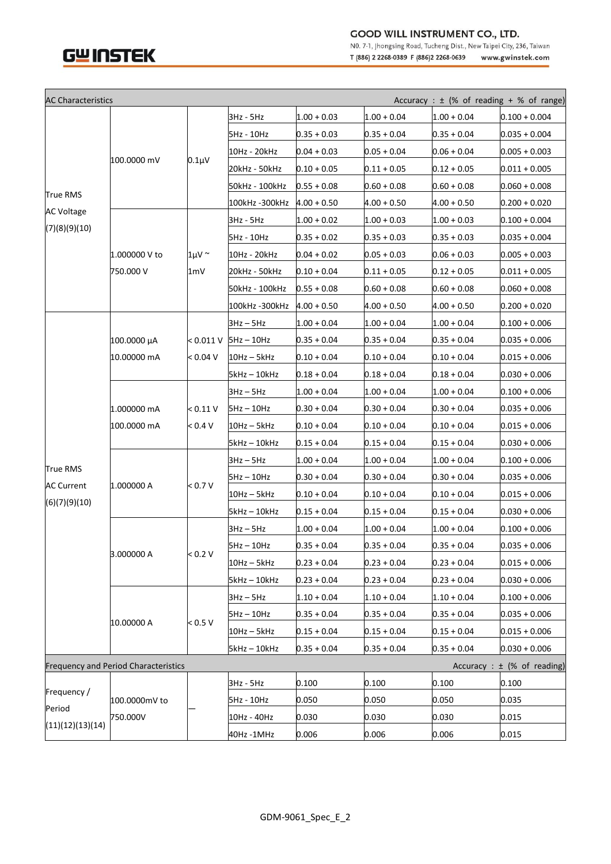



NO. 7-1, Jhongsing Road, Tucheng Dist., New Taipei City, 236, Taiwan T (886) 2 2268-0389 F (886)2 2268-0639 www.gwinstek.com

| <b>AC Characteristics</b><br>Accuracy : $\pm$ (% of reading + % of range)      |                            |                |                |               |               |               |                 |  |
|--------------------------------------------------------------------------------|----------------------------|----------------|----------------|---------------|---------------|---------------|-----------------|--|
| True RMS<br><b>AC Voltage</b><br>(7)(8)(9)(10)                                 | 100.0000 mV                |                | 3Hz - 5Hz      | $1.00 + 0.03$ | $1.00 + 0.04$ | $1.00 + 0.04$ | $0.100 + 0.004$ |  |
|                                                                                |                            |                | 5Hz - 10Hz     | $0.35 + 0.03$ | $0.35 + 0.04$ | $0.35 + 0.04$ | $0.035 + 0.004$ |  |
|                                                                                |                            |                | 10Hz - 20kHz   | $0.04 + 0.03$ | $0.05 + 0.04$ | $0.06 + 0.04$ | $0.005 + 0.003$ |  |
|                                                                                |                            | $0.1 \mu V$    | 20kHz - 50kHz  | $0.10 + 0.05$ | $0.11 + 0.05$ | $0.12 + 0.05$ | $0.011 + 0.005$ |  |
|                                                                                |                            |                | 50kHz - 100kHz | $0.55 + 0.08$ | $0.60 + 0.08$ | $0.60 + 0.08$ | $0.060 + 0.008$ |  |
|                                                                                |                            |                | 100kHz -300kHz | $4.00 + 0.50$ | 4.00 + 0.50   | 4.00 + 0.50   | $0.200 + 0.020$ |  |
|                                                                                | 1.000000 V to<br>750.000 V |                | 3Hz - 5Hz      | $1.00 + 0.02$ | $1.00 + 0.03$ | $1.00 + 0.03$ | $0.100 + 0.004$ |  |
|                                                                                |                            |                | 5Hz - 10Hz     | $0.35 + 0.02$ | $0.35 + 0.03$ | $0.35 + 0.03$ | $0.035 + 0.004$ |  |
|                                                                                |                            | $1 \mu V \sim$ | 10Hz - 20kHz   | $0.04 + 0.02$ | $0.05 + 0.03$ | $0.06 + 0.03$ | $0.005 + 0.003$ |  |
|                                                                                |                            | 1mV            | 20kHz - 50kHz  | $0.10 + 0.04$ | $0.11 + 0.05$ | $0.12 + 0.05$ | $0.011 + 0.005$ |  |
|                                                                                |                            |                | 50kHz - 100kHz | $0.55 + 0.08$ | $0.60 + 0.08$ | $0.60 + 0.08$ | $0.060 + 0.008$ |  |
|                                                                                |                            |                | 100kHz -300kHz | $4.00 + 0.50$ | $4.00 + 0.50$ | $4.00 + 0.50$ | $0.200 + 0.020$ |  |
| True RMS<br><b>AC Current</b><br>(6)(7)(9)(10)                                 | 100.0000 μΑ<br>10.00000 mA |                | $3Hz - 5Hz$    | $1.00 + 0.04$ | $1.00 + 0.04$ | $1.00 + 0.04$ | $0.100 + 0.006$ |  |
|                                                                                |                            | < 0.011 V      | $5Hz - 10Hz$   | $0.35 + 0.04$ | $0.35 + 0.04$ | 0.35 + 0.04   | $0.035 + 0.006$ |  |
|                                                                                |                            | < 0.04 V       | 10Hz – 5kHz    | $0.10 + 0.04$ | $0.10 + 0.04$ | $0.10\pm0.04$ | $0.015 + 0.006$ |  |
|                                                                                |                            |                | 5kHz – 10kHz   | $0.18 + 0.04$ | $0.18 + 0.04$ | $0.18 + 0.04$ | $0.030 + 0.006$ |  |
|                                                                                | 1.000000 mA<br>100.0000 mA |                | $3Hz - 5Hz$    | $1.00 + 0.04$ | $1.00 + 0.04$ | $1.00 + 0.04$ | $0.100 + 0.006$ |  |
|                                                                                |                            | < 0.11 V       | $5Hz - 10Hz$   | $0.30 + 0.04$ | $0.30 + 0.04$ | $0.30 + 0.04$ | $0.035 + 0.006$ |  |
|                                                                                |                            | < 0.4 V        | 10Hz – 5kHz    | $0.10 + 0.04$ | $0.10 + 0.04$ | $0.10 + 0.04$ | $0.015 + 0.006$ |  |
|                                                                                |                            |                | 5kHz – 10kHz   | $0.15 + 0.04$ | 0.15 + 0.04   | 0.15 + 0.04   | $0.030 + 0.006$ |  |
|                                                                                | 1.000000 A                 |                | $3Hz - 5Hz$    | $1.00 + 0.04$ | $1.00 + 0.04$ | $1.00 + 0.04$ | $0.100 + 0.006$ |  |
|                                                                                |                            |                | $5Hz - 10Hz$   | $0.30 + 0.04$ | $0.30 + 0.04$ | $0.30 + 0.04$ | $0.035 + 0.006$ |  |
|                                                                                |                            | < 0.7 V        | $10Hz - 5kHz$  | $0.10 + 0.04$ | $0.10 + 0.04$ | $0.10 + 0.04$ | $0.015 + 0.006$ |  |
|                                                                                |                            |                | 5kHz – 10kHz   | $0.15 + 0.04$ | $0.15 + 0.04$ | $0.15\pm0.04$ | $0.030 + 0.006$ |  |
|                                                                                | 3.000000 A                 | < 0.2 V        | $3Hz - 5Hz$    | $1.00 + 0.04$ | $1.00 + 0.04$ | $1.00 + 0.04$ | $0.100 + 0.006$ |  |
|                                                                                |                            |                | 5Hz – 10Hz     | 0.35 + 0.04   | $0.35 + 0.04$ | 0.35 + 0.04   | $0.035 + 0.006$ |  |
|                                                                                |                            |                | 10Hz - 5kHz    | $0.23 + 0.04$ | $0.23 + 0.04$ | $0.23 + 0.04$ | $0.015 + 0.006$ |  |
|                                                                                |                            |                | 5kHz - 10kHz   | $0.23 + 0.04$ | $0.23 + 0.04$ | $0.23 + 0.04$ | $0.030 + 0.006$ |  |
|                                                                                | 10.00000 A                 |                | $3Hz - 5Hz$    | $1.10 + 0.04$ | $1.10 + 0.04$ | $1.10 + 0.04$ | $0.100 + 0.006$ |  |
|                                                                                |                            |                | 5Hz - 10Hz     | $0.35 + 0.04$ | $0.35 + 0.04$ | $0.35 + 0.04$ | $0.035 + 0.006$ |  |
|                                                                                |                            | < 0.5 V        | 10Hz – 5kHz    | $0.15 + 0.04$ | $0.15 + 0.04$ | $0.15 + 0.04$ | $0.015 + 0.006$ |  |
|                                                                                |                            |                | 5kHz - 10kHz   | $0.35 + 0.04$ | $0.35 + 0.04$ | $0.35 + 0.04$ | $0.030 + 0.006$ |  |
| <b>Frequency and Period Characteristics</b><br>Accuracy : $\pm$ (% of reading) |                            |                |                |               |               |               |                 |  |
| Frequency /<br>Period<br>(11)(12)(13)(14)                                      | 100.0000mV to<br>750.000V  |                | 3Hz - 5Hz      | 0.100         | 0.100         | 0.100         | 0.100           |  |
|                                                                                |                            |                | 5Hz - 10Hz     | 0.050         | 0.050         | 0.050         | 0.035           |  |
|                                                                                |                            |                | 10Hz - 40Hz    | 0.030         | 0.030         | 0.030         | 0.015           |  |
|                                                                                |                            |                | 40Hz -1MHz     | 0.006         | 0.006         | 0.006         | 0.015           |  |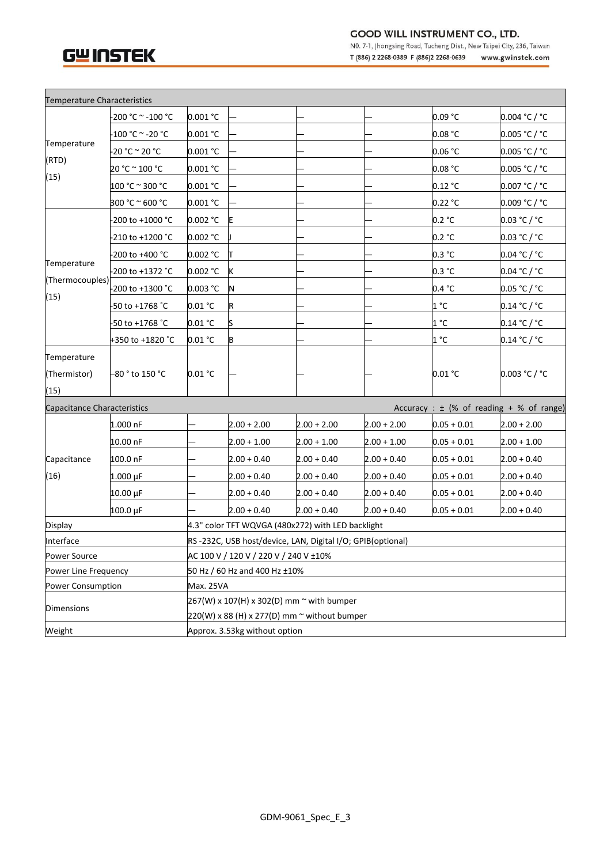# GWINSTEK

Г

### **GOOD WILL INSTRUMENT CO., LTD.**

NO. 7-1, Jhongsing Road, Tucheng Dist., New Taipei City, 236, Taiwan T (886) 2 2268-0389 F (886) 2 2268-0639 www.gwinstek.com

| Temperature Characteristics  |                                                                             |                                                            |                                              |               |               |                                |               |  |  |  |
|------------------------------|-----------------------------------------------------------------------------|------------------------------------------------------------|----------------------------------------------|---------------|---------------|--------------------------------|---------------|--|--|--|
| Temperature<br>(RTD)<br>(15) | -200 °C  ~ -100 °C                                                          | 0.001 °C                                                   |                                              |               |               | 0.09 °C                        | 0.004 °C / °C |  |  |  |
|                              |                                                                             | 0.001 °C                                                   |                                              |               |               | $0.08\text{ }^{\circ}\text{C}$ | 0.005 °C / °C |  |  |  |
|                              | -20 °C ~ 20 °C                                                              | 0.001 °C                                                   |                                              |               |               | 0.06 °C                        | 0.005 °C / °C |  |  |  |
|                              | 20 °C ~ 100 °C                                                              | 0.001 °C                                                   |                                              |               |               | 0.08 °C                        | 0.005 °C / °C |  |  |  |
|                              | 100 °C ~ 300 °C                                                             | 0.001 °C                                                   |                                              |               |               | 0.12 °C                        | 0.007 °C / °C |  |  |  |
|                              | 300 °C ~ 600 °C                                                             | 0.001 °C                                                   |                                              |               |               | 0.22 °C                        | 0.009 °C / °C |  |  |  |
|                              | -200 to +1000 °C                                                            | 0.002 °C                                                   | Ε                                            |               |               | 0.2 °C                         | 0.03 °C / °C  |  |  |  |
|                              | 210 to +1200 °C                                                             | 0.002 °C                                                   |                                              |               |               | 0.2 °C                         | 0.03 °C / °C  |  |  |  |
|                              | 200 to +400 °C                                                              | 0.002 °C                                                   |                                              |               |               | 0.3 °C                         | 0.04 °C / °C  |  |  |  |
| Temperature                  | 200 to +1372 °C                                                             | 0.002 °C                                                   | κ                                            |               |               | 0.3 °C                         | 0.04 °C / °C  |  |  |  |
| (Thermocouples)<br>(15)      | -200 to +1300 °C                                                            | 0.003 °C                                                   | Ν                                            |               |               | 0.4 °C                         | 0.05 °C / °C  |  |  |  |
|                              | -50 to +1768 °C                                                             | 0.01 °C                                                    | R                                            |               |               | 1 °C                           | 0.14 °C / °C  |  |  |  |
|                              | -50 to +1768 °C                                                             | 0.01 °C                                                    |                                              |               |               | 1 °C                           | 0.14 °C / °C  |  |  |  |
|                              | +350 to +1820 °C                                                            | 0.01 °C                                                    | B                                            |               |               | 1 °C                           | 0.14 °C / °C  |  |  |  |
| Temperature                  |                                                                             |                                                            |                                              |               |               |                                |               |  |  |  |
| (Thermistor)                 | –80 ° to 150 °C                                                             | 0.01 °C                                                    |                                              |               |               | 0.01 °C                        | 0.003 °C / °C |  |  |  |
| (15)                         |                                                                             |                                                            |                                              |               |               |                                |               |  |  |  |
|                              | Accuracy : $\pm$ (% of reading + % of range)<br>Capacitance Characteristics |                                                            |                                              |               |               |                                |               |  |  |  |
|                              | 1.000 nF                                                                    |                                                            | $2.00 + 2.00$                                | $2.00 + 2.00$ | $2.00 + 2.00$ | $0.05 + 0.01$                  | $2.00 + 2.00$ |  |  |  |
| Capacitance<br>(16)          | 10.00 nF                                                                    |                                                            | $2.00 + 1.00$                                | $2.00 + 1.00$ | $2.00 + 1.00$ | $0.05 + 0.01$                  | $2.00 + 1.00$ |  |  |  |
|                              | 100.0 nF                                                                    |                                                            | $2.00 + 0.40$                                | $2.00 + 0.40$ | $2.00 + 0.40$ | $0.05 + 0.01$                  | $2.00 + 0.40$ |  |  |  |
|                              | $1.000 \,\mu F$                                                             |                                                            | $2.00 + 0.40$                                | $2.00 + 0.40$ | $2.00 + 0.40$ | $0.05 + 0.01$                  | $2.00 + 0.40$ |  |  |  |
|                              | 10.00 µF                                                                    |                                                            | $2.00 + 0.40$                                | $2.00 + 0.40$ | $2.00 + 0.40$ | $0.05 + 0.01$                  | $2.00 + 0.40$ |  |  |  |
|                              | 100.0 µF                                                                    |                                                            | $2.00 + 0.40$                                | $2.00 + 0.40$ | $2.00 + 0.40$ | $0.05 + 0.01$                  | $2.00 + 0.40$ |  |  |  |
| Display                      |                                                                             | 4.3" color TFT WQVGA (480x272) with LED backlight          |                                              |               |               |                                |               |  |  |  |
| Interface                    |                                                                             | RS-232C, USB host/device, LAN, Digital I/O; GPIB(optional) |                                              |               |               |                                |               |  |  |  |
| Power Source                 |                                                                             | AC 100 V / 120 V / 220 V / 240 V ±10%                      |                                              |               |               |                                |               |  |  |  |
| Power Line Frequency         |                                                                             | 50 Hz / 60 Hz and 400 Hz ±10%                              |                                              |               |               |                                |               |  |  |  |
| Power Consumption            |                                                                             | Max. 25VA                                                  |                                              |               |               |                                |               |  |  |  |
| Dimensions                   |                                                                             | 267(W) x 107(H) x 302(D) mm ~ with bumper                  |                                              |               |               |                                |               |  |  |  |
|                              |                                                                             |                                                            | 220(W) x 88 (H) x 277(D) mm ~ without bumper |               |               |                                |               |  |  |  |
| Weight                       |                                                                             | Approx. 3.53kg without option                              |                                              |               |               |                                |               |  |  |  |